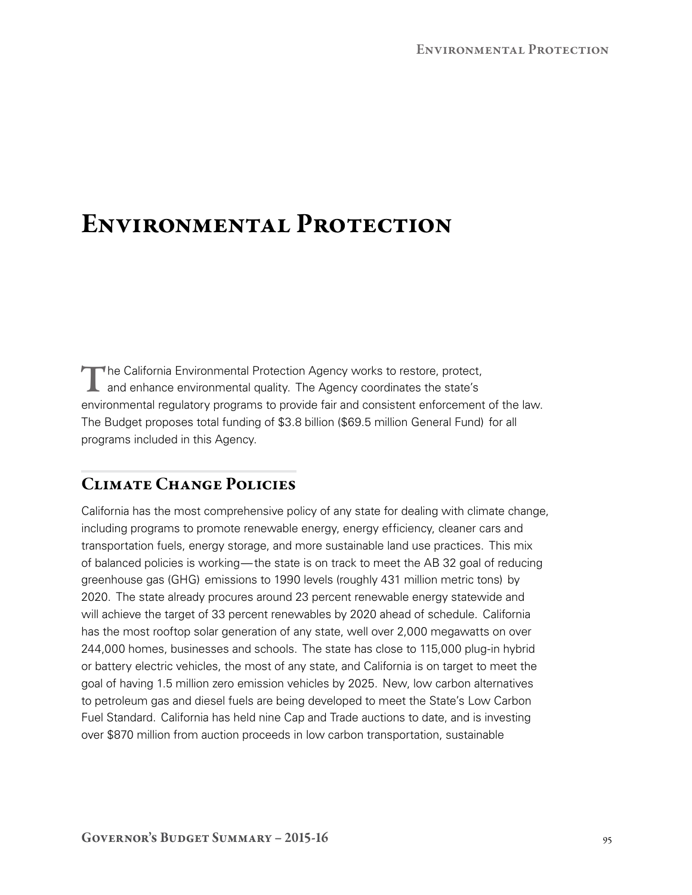## Environmental Protection

The California Environmental Protection Agency works to restore, protect, and enhance environmental quality. The Agency coordinates the state's environmental regulatory programs to provide fair and consistent enforcement of the law. The Budget proposes total funding of \$3.8 billion (\$69.5 million General Fund) for all programs included in this Agency.

## Climate Change Policies

California has the most comprehensive policy of any state for dealing with climate change, including programs to promote renewable energy, energy efficiency, cleaner cars and transportation fuels, energy storage, and more sustainable land use practices. This mix of balanced policies is working—the state is on track to meet the AB 32 goal of reducing greenhouse gas (GHG) emissions to 1990 levels (roughly 431 million metric tons) by 2020. The state already procures around 23 percent renewable energy statewide and will achieve the target of 33 percent renewables by 2020 ahead of schedule. California has the most rooftop solar generation of any state, well over 2,000 megawatts on over 244,000 homes, businesses and schools. The state has close to 115,000 plug‑in hybrid or battery electric vehicles, the most of any state, and California is on target to meet the goal of having 1.5 million zero emission vehicles by 2025. New, low carbon alternatives to petroleum gas and diesel fuels are being developed to meet the State's Low Carbon Fuel Standard. California has held nine Cap and Trade auctions to date, and is investing over \$870 million from auction proceeds in low carbon transportation, sustainable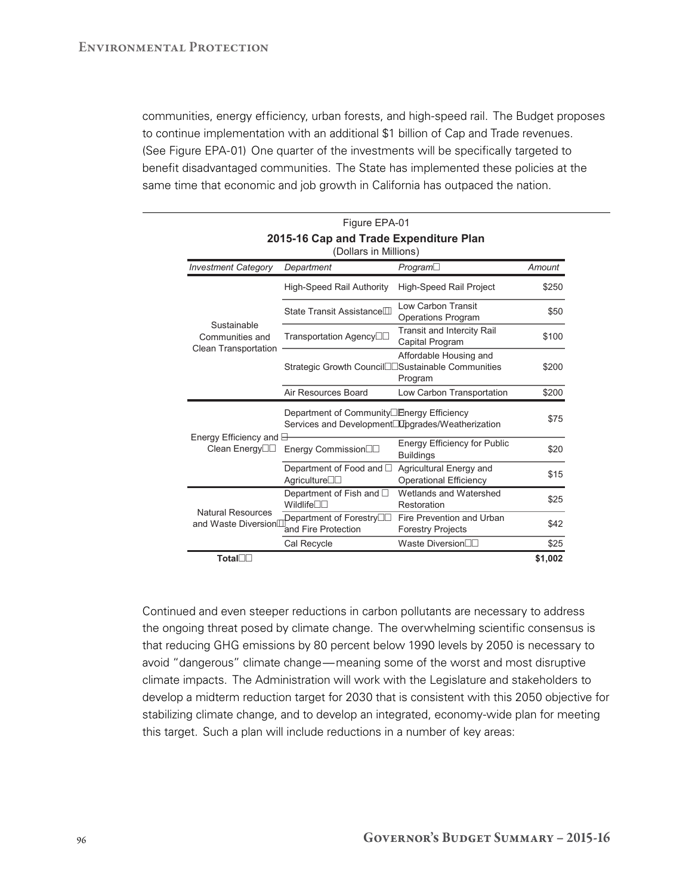communities, energy efficiency, urban forests, and high-speed rail. The Budget proposes to continue implementation with an additional \$1 billion of Cap and Trade revenues. (See Figure EPA‑01) One quarter of the investments will be specifically targeted to benefit disadvantaged communities. The State has implemented these policies at the same time that economic and job growth in California has outpaced the nation.

Figure EPA-01

| , 1991 <del>.</del><br>2015-16 Cap and Trade Expenditure Plan<br>(Dollars in Millions) |                                                                                                             |                                                          |         |
|----------------------------------------------------------------------------------------|-------------------------------------------------------------------------------------------------------------|----------------------------------------------------------|---------|
| <b>Investment Category</b>                                                             | Department                                                                                                  | $Program\square$                                         | Amount  |
| Sustainable<br>Communities and<br>Clean Transportation                                 | <b>High-Speed Rail Authority</b>                                                                            | <b>High-Speed Rail Project</b>                           | \$250   |
|                                                                                        | State Transit Assistance <sup>[1]</sup>                                                                     | Low Carbon Transit<br><b>Operations Program</b>          | \$50    |
|                                                                                        | Transportation Agency□□                                                                                     | <b>Transit and Intercity Rail</b><br>Capital Program     | \$100   |
|                                                                                        | Strategic Growth Council <sup>IIS</sup> ustainable Communities                                              | Affordable Housing and<br>Program                        | \$200   |
|                                                                                        | Air Resources Board                                                                                         | Low Carbon Transportation                                | \$200   |
| Energy Efficiency and $\boxminus$<br>Clean Energy <sup>[1]</sup>                       | Department of Community□ Energy Efficiency<br>Services and Development <sup>ID</sup> Dgrades/Weatherization |                                                          | \$75    |
|                                                                                        | Energy Commission                                                                                           | <b>Energy Efficiency for Public</b><br><b>Buildings</b>  | \$20    |
|                                                                                        | Department of Food and □<br>Agriculture $\square \square$                                                   | Agricultural Energy and<br><b>Operational Efficiency</b> | \$15    |
| <b>Natural Resources</b><br>and Waste Diversion                                        | Department of Fish and $\square$<br>Wildlife <sup>nn</sup>                                                  | Wetlands and Watershed<br>Restoration                    | \$25    |
|                                                                                        | Department of Forestry<br>and Fire Protection                                                               | Fire Prevention and Urban<br><b>Forestry Projects</b>    | \$42    |
|                                                                                        | Cal Recycle                                                                                                 | Waste Diversion□□                                        | \$25    |
| Total□□                                                                                |                                                                                                             |                                                          | \$1,002 |

Continued and even steeper reductions in carbon pollutants are necessary to address the ongoing threat posed by climate change. The overwhelming scientific consensus is that reducing GHG emissions by 80 percent below 1990 levels by 2050 is necessary to avoid "dangerous" climate change—meaning some of the worst and most disruptive climate impacts. The Administration will work with the Legislature and stakeholders to develop a midterm reduction target for 2030 that is consistent with this 2050 objective for stabilizing climate change, and to develop an integrated, economy-wide plan for meeting this target. Such a plan will include reductions in a number of key areas: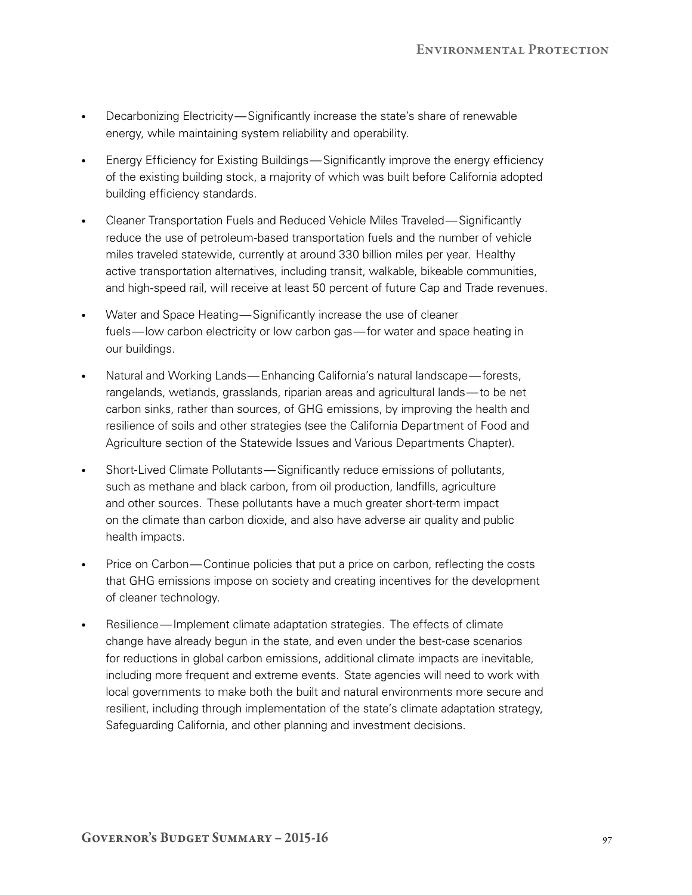- Decarbonizing Electricity—Significantly increase the state's share of renewable energy, while maintaining system reliability and operability.
- Energy Efficiency for Existing Buildings—Significantly improve the energy efficiency of the existing building stock, a majority of which was built before California adopted building efficiency standards.
- • Cleaner Transportation Fuels and Reduced Vehicle Miles Traveled—Significantly reduce the use of petroleum-based transportation fuels and the number of vehicle miles traveled statewide, currently at around 330 billion miles per year. Healthy active transportation alternatives, including transit, walkable, bikeable communities, and high-speed rail, will receive at least 50 percent of future Cap and Trade revenues.
- Water and Space Heating—Significantly increase the use of cleaner fuels—low carbon electricity or low carbon gas—for water and space heating in our buildings.
- Natural and Working Lands—Enhancing California's natural landscape—forests, rangelands, wetlands, grasslands, riparian areas and agricultural lands—to be net carbon sinks, rather than sources, of GHG emissions, by improving the health and resilience of soils and other strategies (see the California Department of Food and Agriculture section of the Statewide Issues and Various Departments Chapter).
- Short-Lived Climate Pollutants—Significantly reduce emissions of pollutants, such as methane and black carbon, from oil production, landfills, agriculture and other sources. These pollutants have a much greater short-term impact on the climate than carbon dioxide, and also have adverse air quality and public health impacts.
- Price on Carbon—Continue policies that put a price on carbon, reflecting the costs that GHG emissions impose on society and creating incentives for the development of cleaner technology.
- Resilience—Implement climate adaptation strategies. The effects of climate change have already begun in the state, and even under the best-case scenarios for reductions in global carbon emissions, additional climate impacts are inevitable, including more frequent and extreme events. State agencies will need to work with local governments to make both the built and natural environments more secure and resilient, including through implementation of the state's climate adaptation strategy, Safeguarding California, and other planning and investment decisions.